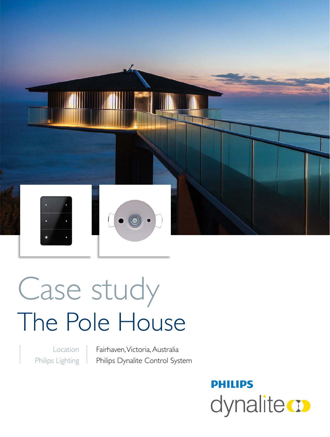

# Case study The Pole House

Location Philips Lighting Fairhaven, Victoria, Australia Philips Dynalite Control System

> **PHILIPS** dynalitect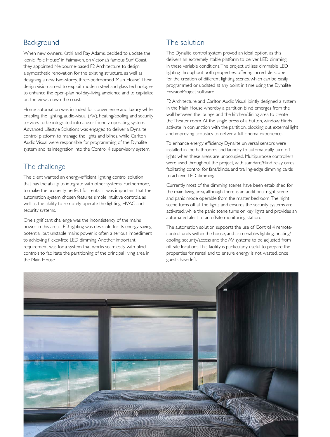### Background

When new owners, Kathi and Ray Adams, decided to update the iconic 'Pole House' in Fairhaven, on Victoria's famous Surf Coast, they appointed Melbourne-based F2 Architecture to design a sympathetic renovation for the existing structure, as well as designing a new two-storey, three-bedroomed 'Main House'. Their design vision aimed to exploit modern steel and glass technologies to enhance the open-plan holiday-living ambience and to capitalize on the views down the coast.

Home automation was included for convenience and luxury, while enabling the lighting, audio-visual (AV), heating/cooling and security services to be integrated into a user-friendly operating system. Advanced Lifestyle Solutions was engaged to deliver a Dynalite control platform to manage the lights and blinds, while Carlton Audio Visual were responsible for programming of the Dynalite system and its integration into the Control 4 supervisory system.

### The challenge

The client wanted an energy-efficient lighting control solution that has the ability to integrate with other systems. Furthermore, to make the property perfect for rental, it was important that the automation system chosen features simple intuitive controls, as well as the ability to remotely operate the lighting, HVAC and security systems.

One significant challenge was the inconsistency of the mains power in this area. LED lighting was desirable for its energy-saving potential, but unstable mains power is often a serious impediment to achieving flicker-free LED dimming. Another important requirement was for a system that works seamlessly with blind controls to facilitate the partitioning of the principal living area in the Main House.

## The solution

The Dynalite control system proved an ideal option, as this delivers an extremely stable platform to deliver LED dimming in these variable conditions. The project utilizes dimmable LED lighting throughout both properties, offering incredible scope for the creation of different lighting scenes, which can be easily programmed or updated at any point in time using the Dynalite EnvisionProject software.

F2 Architecture and Carlton Audio Visual jointly designed a system in the Main House whereby a partition blind emerges from the wall between the lounge and the kitchen/dining area to create the Theater room. At the single press of a button, window blinds activate in conjunction with the partition, blocking out external light and improving acoustics to deliver a full cinema experience.

To enhance energy efficiency, Dynalite universal sensors were installed in the bathrooms and laundry to automatically turn off lights when these areas are unoccupied. Multipurpose controllers were used throughout the project, with standard/blind relay cards facilitating control for fans/blinds, and trailing-edge dimming cards to achieve LED dimming.

Currently, most of the dimming scenes have been established for the main living area, although there is an additional night scene and panic mode operable from the master bedroom. The night scene turns off all the lights and ensures the security systems are activated, while the panic scene turns on key lights and provides an automated alert to an offsite monitoring station.

The automation solution supports the use of Control 4 remotecontrol units within the house, and also enables lighting, heating/ cooling, security/access and the AV systems to be adjusted from off-site locations. This facility is particularly useful to prepare the properties for rental and to ensure energy is not wasted, once guests have left.

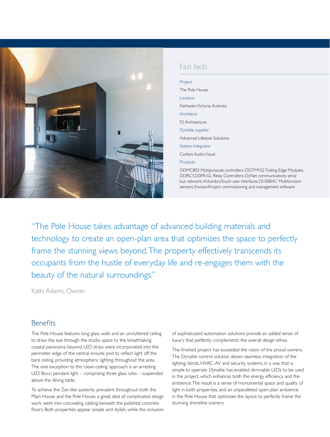

#### Fast facts

| Project                                                                                                                                                                                                                                                                 |
|-------------------------------------------------------------------------------------------------------------------------------------------------------------------------------------------------------------------------------------------------------------------------|
| The Pole House                                                                                                                                                                                                                                                          |
| Location                                                                                                                                                                                                                                                                |
| Fairhaven. Victoria. Australia                                                                                                                                                                                                                                          |
| Architects                                                                                                                                                                                                                                                              |
| F <sub>2</sub> Architecture                                                                                                                                                                                                                                             |
| Dynalite supplier                                                                                                                                                                                                                                                       |
| Advanced Lifestyle Solutions                                                                                                                                                                                                                                            |
| System Integrator                                                                                                                                                                                                                                                       |
| Carlton Audio Visual                                                                                                                                                                                                                                                    |
| Products                                                                                                                                                                                                                                                                |
| DDMC802 Multipurpose controllers, DDTM102 Trailing Edge Modules;<br>DDRC1220FR-GL Relay Controllers; DyNet communications serial<br>bus network; AntumbraTouch user interfaces; DUS804C Multifunction<br>sensors; EnvisionProject commissioning and management software |

"The Pole House takes advantage of advanced building materials and technology to create an open-plan area that optimizes the space to perfectly frame the stunning views beyond. The property effectively transcends its occupants from the hustle of everyday life and re-engages them with the beauty of the natural surroundings."

Kathi Adams, Owner

#### Benefits

The Pole House features long glass walls and an uncluttered ceiling to draw the eye through the studio space to the breathtaking coastal panorama beyond. LED strips were incorporated into the perimeter edge of the central ensuite pod to reflect light off the bare ceiling, providing atmospheric lighting throughout the area. The one exception to this 'clean-ceiling' approach is an arresting LED Bocci pendant light – comprising three glass orbs – suspended above the dining table.

To achieve the Zen-like austerity prevalent throughout both the Main House and the Pole House, a great deal of complicated design work went into concealing cabling beneath the polished concrete floors. Both properties appear simple and stylish, while the inclusion

of sophisticated automation solutions provide an added sense of luxury that perfectly complements the overall design ethos.

The finished project has exceeded the vision of the proud owners. The Dynalite control solution allows seamless integration of the lighting, blinds, HVAC, AV and security systems, in a way that is simple to operate. Dynalite has enabled dimmable LEDs to be used in the project, which enhances both the energy efficiency and the ambience. The result is a sense of monumental space and quality of light in both properties, and an unparalleled open-plan ambience in the Pole House that optimizes the layout to perfectly frame the stunning shoreline scenery.